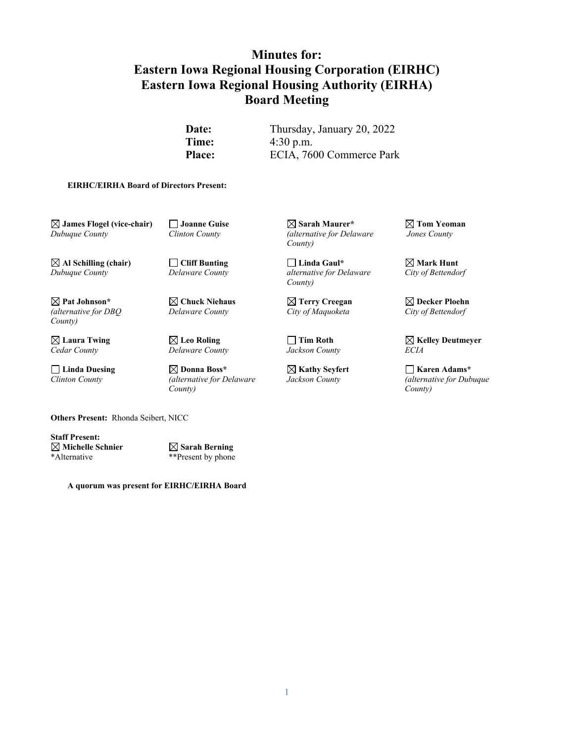# **Minutes for: Eastern Iowa Regional Housing Corporation (EIRHC) Eastern Iowa Regional Housing Authority (EIRHA) Board Meeting**

**Date:** Thursday, January 20, 2022 **Time:** 4:30 p.m. Place: ECIA, 7600 Commerce Park

#### **EIRHC/EIRHA Board of Directors Present:**

 **James Flogel (vice-chair) Joanne Guise Sarah Maurer\* Tom Yeoman**  *Dubuque County Clinton County (alternative for Delaware Jones County* 

 **Al Schilling (chair) Cliff Bunting Linda Gaul\* Mark Hunt** 

 **Pat Johnson\* Chuck Niehaus Terry Creegan Decker Ploehn**  *(alternative for DBQ Delaware County City of Maquoketa City of Bettendorf County)*

 $D$ *elaware County* 

□ Linda Duesing △ △ Donna Boss<sup>\*</sup> △ △ **Kathy Seyfert** △ Karen Adams **Adams D**  *County) County)*

 *County)* 

*Dubuque County Delaware County alternative for Delaware City of Bettendorf County)* 

 $\boxtimes$  **Laura Twing**  $\cong$   $\boxtimes$  Leo Roling  $\Box$  Tim Roth  $\Box$   $\boxtimes$  Kelley Deutmeyer *Cedar County Delaware County Jackson County ECIA* 

*Clinton County (alternative for Delaware Jackson County (alternative for Dubuque* 

**Others Present:** Rhonda Seibert, NICC

**Staff Present: Michelle Schnier Sarah Berning**  \*Alternative \*\*Present by phone

**A quorum was present for EIRHC/EIRHA Board**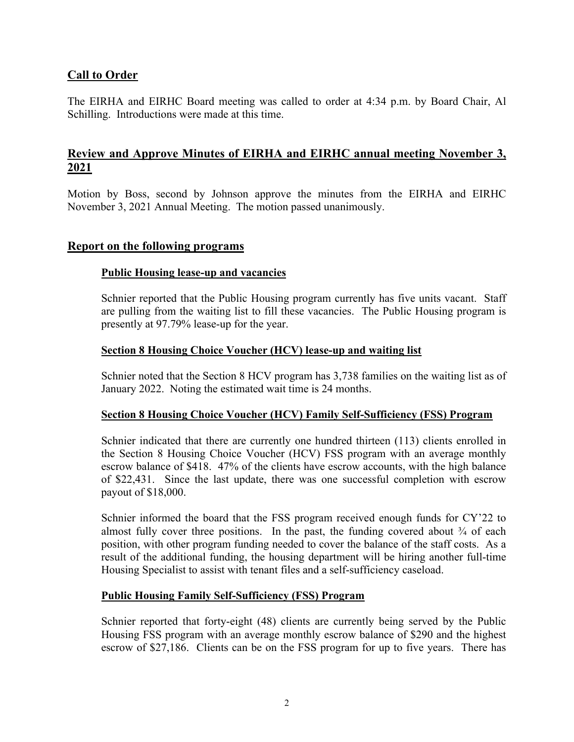### **Call to Order**

The EIRHA and EIRHC Board meeting was called to order at 4:34 p.m. by Board Chair, Al Schilling. Introductions were made at this time.

## **Review and Approve Minutes of EIRHA and EIRHC annual meeting November 3, 2021**

Motion by Boss, second by Johnson approve the minutes from the EIRHA and EIRHC November 3, 2021 Annual Meeting. The motion passed unanimously.

### **Report on the following programs**

#### **Public Housing lease-up and vacancies**

Schnier reported that the Public Housing program currently has five units vacant. Staff are pulling from the waiting list to fill these vacancies. The Public Housing program is presently at 97.79% lease-up for the year.

#### **Section 8 Housing Choice Voucher (HCV) lease-up and waiting list**

Schnier noted that the Section 8 HCV program has 3,738 families on the waiting list as of January 2022. Noting the estimated wait time is 24 months.

#### **Section 8 Housing Choice Voucher (HCV) Family Self-Sufficiency (FSS) Program**

Schnier indicated that there are currently one hundred thirteen (113) clients enrolled in the Section 8 Housing Choice Voucher (HCV) FSS program with an average monthly escrow balance of \$418. 47% of the clients have escrow accounts, with the high balance of \$22,431. Since the last update, there was one successful completion with escrow payout of \$18,000.

Schnier informed the board that the FSS program received enough funds for CY'22 to almost fully cover three positions. In the past, the funding covered about  $\frac{3}{4}$  of each position, with other program funding needed to cover the balance of the staff costs. As a result of the additional funding, the housing department will be hiring another full-time Housing Specialist to assist with tenant files and a self-sufficiency caseload.

#### **Public Housing Family Self-Sufficiency (FSS) Program**

Schnier reported that forty-eight (48) clients are currently being served by the Public Housing FSS program with an average monthly escrow balance of \$290 and the highest escrow of \$27,186. Clients can be on the FSS program for up to five years. There has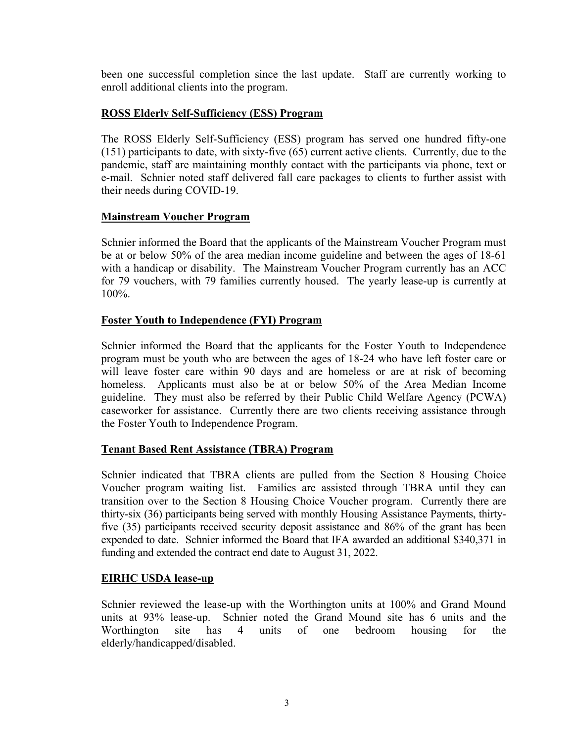been one successful completion since the last update. Staff are currently working to enroll additional clients into the program.

#### **ROSS Elderly Self-Sufficiency (ESS) Program**

The ROSS Elderly Self-Sufficiency (ESS) program has served one hundred fifty-one (151) participants to date, with sixty-five (65) current active clients. Currently, due to the pandemic, staff are maintaining monthly contact with the participants via phone, text or e-mail. Schnier noted staff delivered fall care packages to clients to further assist with their needs during COVID-19.

#### **Mainstream Voucher Program**

Schnier informed the Board that the applicants of the Mainstream Voucher Program must be at or below 50% of the area median income guideline and between the ages of 18-61 with a handicap or disability. The Mainstream Voucher Program currently has an ACC for 79 vouchers, with 79 families currently housed. The yearly lease-up is currently at 100%.

#### **Foster Youth to Independence (FYI) Program**

Schnier informed the Board that the applicants for the Foster Youth to Independence program must be youth who are between the ages of 18-24 who have left foster care or will leave foster care within 90 days and are homeless or are at risk of becoming homeless. Applicants must also be at or below 50% of the Area Median Income guideline. They must also be referred by their Public Child Welfare Agency (PCWA) caseworker for assistance. Currently there are two clients receiving assistance through the Foster Youth to Independence Program.

#### **Tenant Based Rent Assistance (TBRA) Program**

Schnier indicated that TBRA clients are pulled from the Section 8 Housing Choice Voucher program waiting list. Families are assisted through TBRA until they can transition over to the Section 8 Housing Choice Voucher program. Currently there are thirty-six (36) participants being served with monthly Housing Assistance Payments, thirtyfive (35) participants received security deposit assistance and 86% of the grant has been expended to date. Schnier informed the Board that IFA awarded an additional \$340,371 in funding and extended the contract end date to August 31, 2022.

#### **EIRHC USDA lease-up**

Schnier reviewed the lease-up with the Worthington units at 100% and Grand Mound units at 93% lease-up. Schnier noted the Grand Mound site has 6 units and the Worthington site has 4 units of one bedroom housing for the elderly/handicapped/disabled.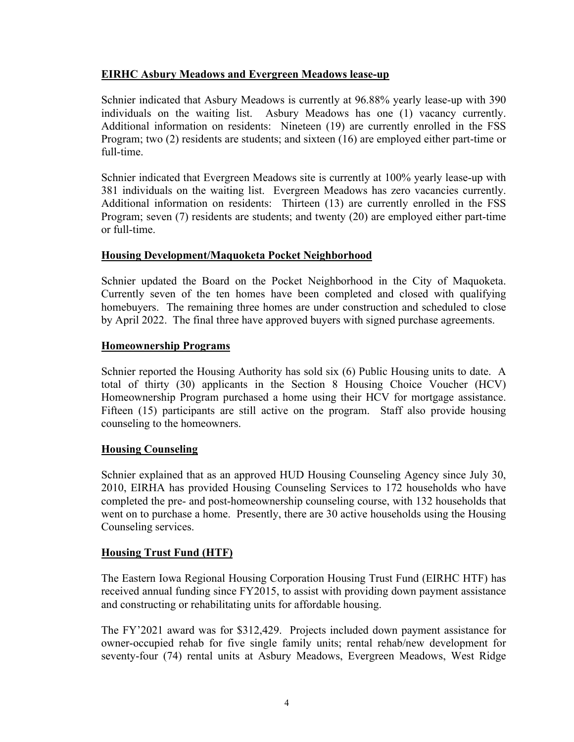#### **EIRHC Asbury Meadows and Evergreen Meadows lease-up**

Schnier indicated that Asbury Meadows is currently at 96.88% yearly lease-up with 390 individuals on the waiting list. Asbury Meadows has one (1) vacancy currently. Additional information on residents: Nineteen (19) are currently enrolled in the FSS Program; two (2) residents are students; and sixteen (16) are employed either part-time or full-time.

Schnier indicated that Evergreen Meadows site is currently at 100% yearly lease-up with 381 individuals on the waiting list. Evergreen Meadows has zero vacancies currently. Additional information on residents: Thirteen (13) are currently enrolled in the FSS Program; seven (7) residents are students; and twenty (20) are employed either part-time or full-time.

#### **Housing Development/Maquoketa Pocket Neighborhood**

Schnier updated the Board on the Pocket Neighborhood in the City of Maquoketa. Currently seven of the ten homes have been completed and closed with qualifying homebuyers. The remaining three homes are under construction and scheduled to close by April 2022. The final three have approved buyers with signed purchase agreements.

#### **Homeownership Programs**

Schnier reported the Housing Authority has sold six (6) Public Housing units to date. A total of thirty (30) applicants in the Section 8 Housing Choice Voucher (HCV) Homeownership Program purchased a home using their HCV for mortgage assistance. Fifteen (15) participants are still active on the program. Staff also provide housing counseling to the homeowners.

### **Housing Counseling**

Schnier explained that as an approved HUD Housing Counseling Agency since July 30, 2010, EIRHA has provided Housing Counseling Services to 172 households who have completed the pre- and post-homeownership counseling course, with 132 households that went on to purchase a home. Presently, there are 30 active households using the Housing Counseling services.

### **Housing Trust Fund (HTF)**

The Eastern Iowa Regional Housing Corporation Housing Trust Fund (EIRHC HTF) has received annual funding since FY2015, to assist with providing down payment assistance and constructing or rehabilitating units for affordable housing.

The FY'2021 award was for \$312,429. Projects included down payment assistance for owner-occupied rehab for five single family units; rental rehab/new development for seventy-four (74) rental units at Asbury Meadows, Evergreen Meadows, West Ridge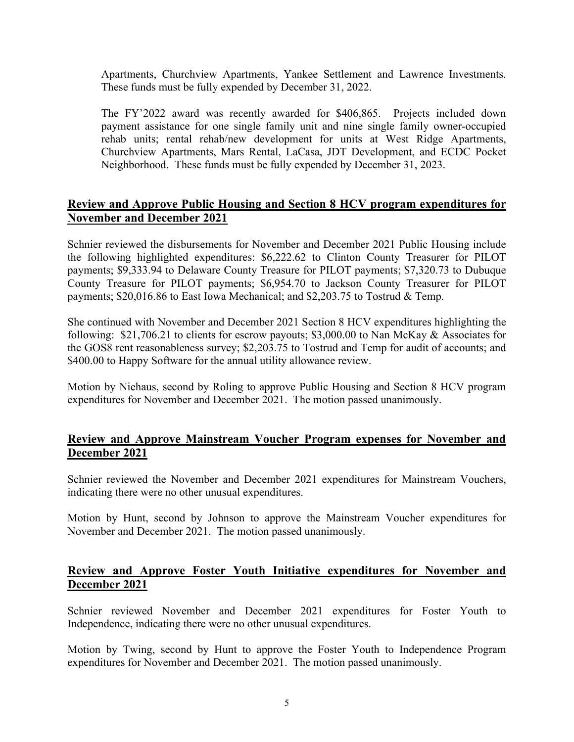Apartments, Churchview Apartments, Yankee Settlement and Lawrence Investments. These funds must be fully expended by December 31, 2022.

The FY'2022 award was recently awarded for \$406,865. Projects included down payment assistance for one single family unit and nine single family owner-occupied rehab units; rental rehab/new development for units at West Ridge Apartments, Churchview Apartments, Mars Rental, LaCasa, JDT Development, and ECDC Pocket Neighborhood. These funds must be fully expended by December 31, 2023.

### **Review and Approve Public Housing and Section 8 HCV program expenditures for November and December 2021**

Schnier reviewed the disbursements for November and December 2021 Public Housing include the following highlighted expenditures: \$6,222.62 to Clinton County Treasurer for PILOT payments; \$9,333.94 to Delaware County Treasure for PILOT payments; \$7,320.73 to Dubuque County Treasure for PILOT payments; \$6,954.70 to Jackson County Treasurer for PILOT payments; \$20,016.86 to East Iowa Mechanical; and \$2,203.75 to Tostrud & Temp.

She continued with November and December 2021 Section 8 HCV expenditures highlighting the following: \$21,706.21 to clients for escrow payouts; \$3,000.00 to Nan McKay & Associates for the GOS8 rent reasonableness survey; \$2,203.75 to Tostrud and Temp for audit of accounts; and \$400.00 to Happy Software for the annual utility allowance review.

Motion by Niehaus, second by Roling to approve Public Housing and Section 8 HCV program expenditures for November and December 2021. The motion passed unanimously.

### **Review and Approve Mainstream Voucher Program expenses for November and December 2021**

Schnier reviewed the November and December 2021 expenditures for Mainstream Vouchers, indicating there were no other unusual expenditures.

Motion by Hunt, second by Johnson to approve the Mainstream Voucher expenditures for November and December 2021. The motion passed unanimously.

### **Review and Approve Foster Youth Initiative expenditures for November and December 2021**

Schnier reviewed November and December 2021 expenditures for Foster Youth to Independence, indicating there were no other unusual expenditures.

Motion by Twing, second by Hunt to approve the Foster Youth to Independence Program expenditures for November and December 2021. The motion passed unanimously.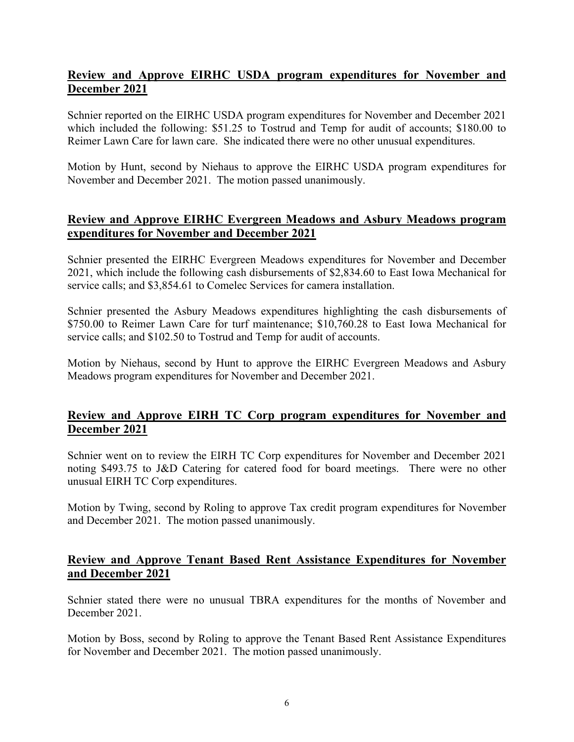## **Review and Approve EIRHC USDA program expenditures for November and December 2021**

Schnier reported on the EIRHC USDA program expenditures for November and December 2021 which included the following: \$51.25 to Tostrud and Temp for audit of accounts; \$180.00 to Reimer Lawn Care for lawn care. She indicated there were no other unusual expenditures.

Motion by Hunt, second by Niehaus to approve the EIRHC USDA program expenditures for November and December 2021. The motion passed unanimously.

## **Review and Approve EIRHC Evergreen Meadows and Asbury Meadows program expenditures for November and December 2021**

Schnier presented the EIRHC Evergreen Meadows expenditures for November and December 2021, which include the following cash disbursements of \$2,834.60 to East Iowa Mechanical for service calls; and \$3,854.61 to Comelec Services for camera installation.

Schnier presented the Asbury Meadows expenditures highlighting the cash disbursements of \$750.00 to Reimer Lawn Care for turf maintenance; \$10,760.28 to East Iowa Mechanical for service calls; and \$102.50 to Tostrud and Temp for audit of accounts.

Motion by Niehaus, second by Hunt to approve the EIRHC Evergreen Meadows and Asbury Meadows program expenditures for November and December 2021.

### **Review and Approve EIRH TC Corp program expenditures for November and December 2021**

Schnier went on to review the EIRH TC Corp expenditures for November and December 2021 noting \$493.75 to J&D Catering for catered food for board meetings. There were no other unusual EIRH TC Corp expenditures.

Motion by Twing, second by Roling to approve Tax credit program expenditures for November and December 2021. The motion passed unanimously.

## **Review and Approve Tenant Based Rent Assistance Expenditures for November and December 2021**

Schnier stated there were no unusual TBRA expenditures for the months of November and December 2021.

Motion by Boss, second by Roling to approve the Tenant Based Rent Assistance Expenditures for November and December 2021. The motion passed unanimously.